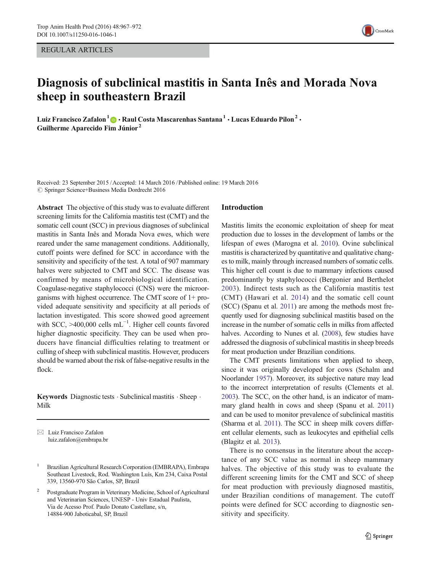REGULAR ARTICLES

# Diagnosis of subclinical mastitis in Santa Inês and Morada Nova sheep in southeastern Brazil

Luiz Francisco Zafalon<sup>1</sup>  $\odot$  · Raul Costa Mascarenhas Santana<sup>1</sup> · Lucas Eduardo Pilon<sup>2</sup> · Guilherme Aparecido Fim Júnior <sup>2</sup>

Received: 23 September 2015 /Accepted: 14 March 2016 /Published online: 19 March 2016  $\oslash$  Springer Science+Business Media Dordrecht 2016

Abstract The objective of this study was to evaluate different screening limits for the California mastitis test (CMT) and the somatic cell count (SCC) in previous diagnoses of subclinical mastitis in Santa Inês and Morada Nova ewes, which were reared under the same management conditions. Additionally, cutoff points were defined for SCC in accordance with the sensitivity and specificity of the test. A total of 907 mammary halves were subjected to CMT and SCC. The disease was confirmed by means of microbiological identification. Coagulase-negative staphylococci (CNS) were the microorganisms with highest occurrence. The CMT score of 1+ provided adequate sensitivity and specificity at all periods of lactation investigated. This score showed good agreement with SCC, >400,000 cells mL<sup>-1</sup>. Higher cell counts favored higher diagnostic specificity. They can be used when producers have financial difficulties relating to treatment or culling of sheep with subclinical mastitis. However, producers should be warned about the risk of false-negative results in the flock.

Keywords Diagnostic tests . Subclinical mastitis . Sheep . Milk

 $\boxtimes$  Luiz Francisco Zafalon luiz.zafalon@embrapa.br

### Introduction

Mastitis limits the economic exploitation of sheep for meat production due to losses in the development of lambs or the lifespan of ewes (Marogna et al. [2010\)](#page-5-0). Ovine subclinical mastitis is characterized by quantitative and qualitative changes to milk, mainly through increased numbers of somatic cells. This higher cell count is due to mammary infections caused predominantly by staphylococci (Bergonier and Berthelot [2003\)](#page-5-0). Indirect tests such as the California mastitis test (CMT) (Hawari et al. [2014](#page-5-0)) and the somatic cell count (SCC) (Spanu et al. [2011\)](#page-5-0) are among the methods most frequently used for diagnosing subclinical mastitis based on the increase in the number of somatic cells in milks from affected halves. According to Nunes et al. [\(2008\)](#page-5-0), few studies have addressed the diagnosis of subclinical mastitis in sheep breeds for meat production under Brazilian conditions.

The CMT presents limitations when applied to sheep, since it was originally developed for cows (Schalm and Noorlander [1957](#page-5-0)). Moreover, its subjective nature may lead to the incorrect interpretation of results (Clements et al. [2003\)](#page-5-0). The SCC, on the other hand, is an indicator of mammary gland health in cows and sheep (Spanu et al. [2011](#page-5-0)) and can be used to monitor prevalence of subclinical mastitis (Sharma et al. [2011](#page-5-0)). The SCC in sheep milk covers different cellular elements, such as leukocytes and epithelial cells (Blagitz et al. [2013](#page-5-0)).

There is no consensus in the literature about the acceptance of any SCC value as normal in sheep mammary halves. The objective of this study was to evaluate the different screening limits for the CMT and SCC of sheep for meat production with previously diagnosed mastitis, under Brazilian conditions of management. The cutoff points were defined for SCC according to diagnostic sensitivity and specificity.



<sup>&</sup>lt;sup>1</sup> Brazilian Agricultural Research Corporation (EMBRAPA), Embrapa Southeast Livestock, Rod. Washington Luís, Km 234, Caixa Postal 339, 13560-970 São Carlos, SP, Brazil

<sup>2</sup> Postgraduate Program in Veterinary Medicine, School of Agricultural and Veterinarian Sciences, UNESP - Univ Estadual Paulista, Via de Acesso Prof. Paulo Donato Castellane, s/n, 14884-900 Jaboticabal, SP, Brazil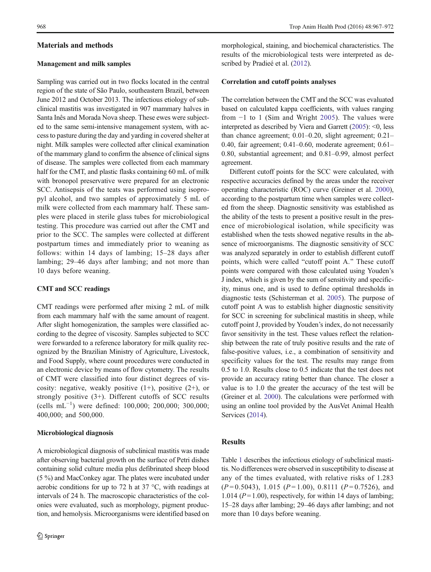### Materials and methods

#### Management and milk samples

Sampling was carried out in two flocks located in the central region of the state of São Paulo, southeastern Brazil, between June 2012 and October 2013. The infectious etiology of subclinical mastitis was investigated in 907 mammary halves in Santa Inês and Morada Nova sheep. These ewes were subjected to the same semi-intensive management system, with access to pasture during the day and yarding in covered shelter at night. Milk samples were collected after clinical examination of the mammary gland to confirm the absence of clinical signs of disease. The samples were collected from each mammary half for the CMT, and plastic flasks containing 60 mL of milk with bronopol preservative were prepared for an electronic SCC. Antisepsis of the teats was performed using isopropyl alcohol, and two samples of approximately 5 mL of milk were collected from each mammary half. These samples were placed in sterile glass tubes for microbiological testing. This procedure was carried out after the CMT and prior to the SCC. The samples were collected at different postpartum times and immediately prior to weaning as follows: within 14 days of lambing; 15–28 days after lambing; 29–46 days after lambing; and not more than 10 days before weaning.

#### CMT and SCC readings

CMT readings were performed after mixing 2 mL of milk from each mammary half with the same amount of reagent. After slight homogenization, the samples were classified according to the degree of viscosity. Samples subjected to SCC were forwarded to a reference laboratory for milk quality recognized by the Brazilian Ministry of Agriculture, Livestock, and Food Supply, where count procedures were conducted in an electronic device by means of flow cytometry. The results of CMT were classified into four distinct degrees of viscosity: negative, weakly positive  $(1+)$ , positive  $(2+)$ , or strongly positive (3+). Different cutoffs of SCC results (cells mL−<sup>1</sup> ) were defined: 100,000; 200,000; 300,000; 400,000; and 500,000.

#### Microbiological diagnosis

A microbiological diagnosis of subclinical mastitis was made after observing bacterial growth on the surface of Petri dishes containing solid culture media plus defibrinated sheep blood (5 %) and MacConkey agar. The plates were incubated under aerobic conditions for up to 72 h at 37  $\degree$ C, with readings at intervals of 24 h. The macroscopic characteristics of the colonies were evaluated, such as morphology, pigment production, and hemolysis. Microorganisms were identified based on morphological, staining, and biochemical characteristics. The results of the microbiological tests were interpreted as described by Pradieé et al. [\(2012\)](#page-5-0).

## Correlation and cutoff points analyses

The correlation between the CMT and the SCC was evaluated based on calculated kappa coefficients, with values ranging from −1 to 1 (Sim and Wright [2005\)](#page-5-0). The values were interpreted as described by Viera and Garrett [\(2005\)](#page-5-0): <0, less than chance agreement; 0.01–0.20, slight agreement; 0.21– 0.40, fair agreement; 0.41–0.60, moderate agreement; 0.61– 0.80, substantial agreement; and 0.81–0.99, almost perfect agreement.

Different cutoff points for the SCC were calculated, with respective accuracies defined by the areas under the receiver operating characteristic (ROC) curve (Greiner et al. [2000\)](#page-5-0), according to the postpartum time when samples were collected from the sheep. Diagnostic sensitivity was established as the ability of the tests to present a positive result in the presence of microbiological isolation, while specificity was established when the tests showed negative results in the absence of microorganisms. The diagnostic sensitivity of SCC was analyzed separately in order to establish different cutoff points, which were called "cutoff point A." These cutoff points were compared with those calculated using Youden's J index, which is given by the sum of sensitivity and specificity, minus one, and is used to define optimal thresholds in diagnostic tests (Schisterman et al. [2005](#page-5-0)). The purpose of cutoff point A was to establish higher diagnostic sensitivity for SCC in screening for subclinical mastitis in sheep, while cutoff point J, provided by Youden's index, do not necessarily favor sensitivity in the test. These values reflect the relationship between the rate of truly positive results and the rate of false-positive values, i.e., a combination of sensitivity and specificity values for the test. The results may range from 0.5 to 1.0. Results close to 0.5 indicate that the test does not provide an accuracy rating better than chance. The closer a value is to 1.0 the greater the accuracy of the test will be (Greiner et al. [2000\)](#page-5-0). The calculations were performed with using an online tool provided by the AusVet Animal Health Services ([2014](#page-5-0)).

## **Results**

Table [1](#page-2-0) describes the infectious etiology of subclinical mastitis. No differences were observed in susceptibility to disease at any of the times evaluated, with relative risks of 1.283  $(P=0.5043)$ , 1.015  $(P=1.00)$ , 0.8111  $(P=0.7526)$ , and 1.014 ( $P = 1.00$ ), respectively, for within 14 days of lambing; 15–28 days after lambing; 29–46 days after lambing; and not more than 10 days before weaning.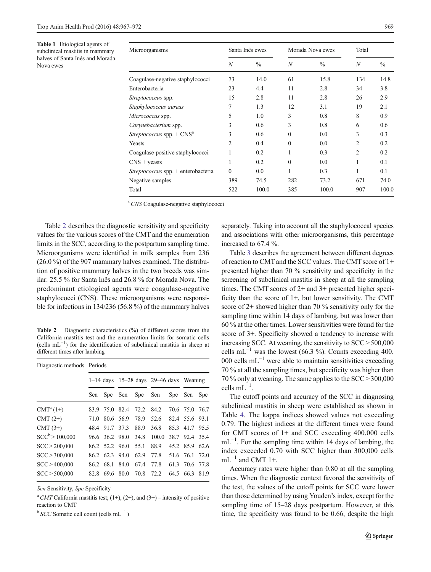<span id="page-2-0"></span>Table 1 Etiological agents of subclinical mastitis in mammary halves of Santa Inês and Morada Nova ewes

| Microorganisms                               | Santa Inês ewes  |               | Morada Nova ewes |               | Total          |               |
|----------------------------------------------|------------------|---------------|------------------|---------------|----------------|---------------|
|                                              | $\boldsymbol{N}$ | $\frac{0}{0}$ | $\boldsymbol{N}$ | $\frac{0}{0}$ | N              | $\frac{0}{0}$ |
| Coagulase-negative staphylococci             | 73               | 14.0          | 61               | 15.8          | 134            | 14.8          |
| Enterobacteria                               | 23               | 4.4           | 11               | 2.8           | 34             | 3.8           |
| <i>Streptococcus</i> spp.                    | 15               | 2.8           | 11               | 2.8           | 26             | 2.9           |
| Staphylococcus aureus                        | 7                | 1.3           | 12               | 3.1           | 19             | 2.1           |
| Micrococcus spp.                             | 5                | 1.0           | 3                | 0.8           | 8              | 0.9           |
| Corynebacterium spp.                         | 3                | 0.6           | 3                | 0.8           | 6              | 0.6           |
| <i>Streptococcus</i> spp. + CNS <sup>a</sup> | 3                | 0.6           | $\theta$         | 0.0           | 3              | 0.3           |
| Yeasts                                       | 2                | 0.4           | $\Omega$         | 0.0           | $\overline{c}$ | 0.2           |
| Coagulase-positive staphylococci             | 1                | 0.2           |                  | 0.3           | $\overline{2}$ | 0.2           |
| $CNS + \text{yeasts}$                        | 1                | 0.2           | $\theta$         | 0.0           | 1              | 0.1           |
| Streptococcus spp. + enterobacteria          | $\boldsymbol{0}$ | 0.0           | 1                | 0.3           | 1              | 0.1           |
| Negative samples                             | 389              | 74.5          | 282              | 73.2          | 671            | 74.0          |
| Total                                        | 522              | 100.0         | 385              | 100.0         | 907            | 100.0         |
|                                              |                  |               |                  |               |                |               |

<sup>a</sup> CNS Coagulase-negative staphylococci

Table 2 describes the diagnostic sensitivity and specificity values for the various scores of the CMT and the enumeration limits in the SCC, according to the postpartum sampling time. Microorganisms were identified in milk samples from 236 (26.0 %) of the 907 mammary halves examined. The distribution of positive mammary halves in the two breeds was similar: 25.5 % for Santa Inês and 26.8 % for Morada Nova. The predominant etiological agents were coagulase-negative staphylococci (CNS). These microorganisms were responsible for infections in 134/236 (56.8 %) of the mammary halves

Table 2 Diagnostic characteristics (%) of different scores from the California mastitis test and the enumeration limits for somatic cells (cells mL−<sup>1</sup> ) for the identification of subclinical mastitis in sheep at different times after lambing

| Diagnostic methods Periods |      |                |           |      |                                               |         |                |      |  |
|----------------------------|------|----------------|-----------|------|-----------------------------------------------|---------|----------------|------|--|
|                            |      |                |           |      | $1-14$ days $15-28$ days $29-46$ days Weaning |         |                |      |  |
|                            | Sen  | Spe Sen        |           | Spe  | Sen                                           | Spe Sen |                | Spe  |  |
| $CMT^{a}(1+)$              | 83.9 | 75.0           | 82.4      | 72.2 | 84.2                                          |         | 70.6 75.0 76.7 |      |  |
| CMT $(2+)$                 | 71.0 |                | 80.6 56.9 | 78.9 | 52.6                                          |         | 82.4 55.6 93.1 |      |  |
| CMT $(3+)$                 |      | 48.4 91.7 37.3 |           | 88.9 | 36.8                                          |         | 85.3 41.7      | 95.5 |  |
| $SCC^b > 100,000$          |      | 96.6 36.2 98.0 |           | 34.8 | 100.0                                         |         | 38.7 92.4 35.4 |      |  |
| SCC > 200,000              |      | 86.2 52.2 96.0 |           | 55.1 | 88.9                                          |         | 45.2 85.9      | 62.6 |  |
| SCC > 300,000              |      | 86.2 62.3 94.0 |           | 62.9 | 77.8                                          |         | 51.6 76.1 72.0 |      |  |
| SCC > 400,000              |      | 86.2 68.1      | 84.0      | 67.4 | 77.8                                          |         | 61.3 70.6 77.8 |      |  |
| SCC > 500,000              | 82.8 | 69.6           | 80.0      | 70.8 | 72.2                                          |         | 64.5 66.3      | 81.9 |  |

Sen Sensitivity, Spe Specificity

<sup>a</sup> CMT California mastitis test; (1+), (2+), and (3+) = intensity of positive reaction to CMT

 $b$  SCC Somatic cell count (cells mL<sup>-1</sup>)

separately. Taking into account all the staphylococcal species and associations with other microorganisms, this percentage increased to 67.4 %.

Table [3](#page-3-0) describes the agreement between different degrees of reaction to CMT and the SCC values. The CMT score of 1+ presented higher than 70 % sensitivity and specificity in the screening of subclinical mastitis in sheep at all the sampling times. The CMT scores of 2+ and 3+ presented higher specificity than the score of 1+, but lower sensitivity. The CMT score of  $2+$  showed higher than 70 % sensitivity only for the sampling time within 14 days of lambing, but was lower than 60 % at the other times. Lower sensitivities were found for the score of 3+. Specificity showed a tendency to increase with increasing SCC. At weaning, the sensitivity to SCC > 500,000 cells mL<sup> $-1$ </sup> was the lowest (66.3 %). Counts exceeding 400, 000 cells  $mL^{-1}$  were able to maintain sensitivities exceeding 70 % at all the sampling times, but specificity was higher than 70 % only at weaning. The same applies to the SCC > 300,000 cells  $mL^{-1}$ .

The cutoff points and accuracy of the SCC in diagnosing subclinical mastitis in sheep were established as shown in Table [4](#page-3-0). The kappa indices showed values not exceeding 0.79. The highest indices at the different times were found for CMT scores of  $1+$  and SCC exceeding 400,000 cells mL<sup>-1</sup>. For the sampling time within 14 days of lambing, the index exceeded 0.70 with SCC higher than 300,000 cells  $mL^{-1}$  and CMT 1+.

Accuracy rates were higher than 0.80 at all the sampling times. When the diagnostic context favored the sensitivity of the test, the values of the cutoff points for SCC were lower than those determined by using Youden's index, except for the sampling time of 15–28 days postpartum. However, at this time, the specificity was found to be 0.66, despite the high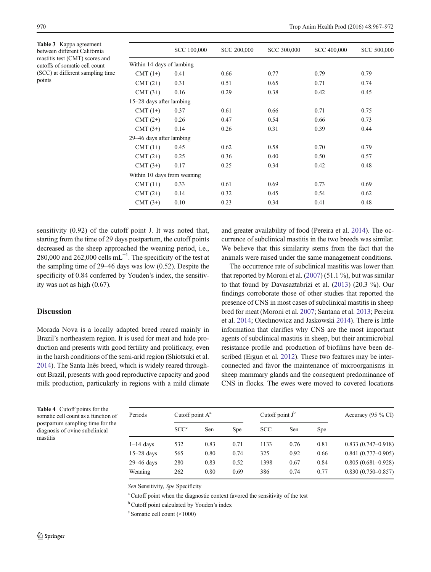<span id="page-3-0"></span>Table 3 Kappa agreement between different California mastitis test (CMT) scores and cutoffs of somatic cell count (SCC) at different sampling time points

|                             | <b>SCC 100,000</b> | <b>SCC 200,000</b> | SCC 300,000 | SCC 400,000 | SCC 500,000 |
|-----------------------------|--------------------|--------------------|-------------|-------------|-------------|
| Within 14 days of lambing   |                    |                    |             |             |             |
| $CMT(1+)$                   | 0.41               | 0.66               | 0.77        | 0.79        | 0.79        |
| $CMT(2+)$                   | 0.31               | 0.51               | 0.65        | 0.71        | 0.74        |
| $CMT(3+)$                   | 0.16               | 0.29               | 0.38        | 0.42        | 0.45        |
| 15–28 days after lambing    |                    |                    |             |             |             |
| $CMT(1+)$                   | 0.37               | 0.61               | 0.66        | 0.71        | 0.75        |
| $CMT(2+)$                   | 0.26               | 0.47               | 0.54        | 0.66        | 0.73        |
| $CMT(3+)$                   | 0.14               | 0.26               | 0.31        | 0.39        | 0.44        |
| 29–46 days after lambing    |                    |                    |             |             |             |
| $CMT(1+)$                   | 0.45               | 0.62               | 0.58        | 0.70        | 0.79        |
| $CMT(2+)$                   | 0.25               | 0.36               | 0.40        | 0.50        | 0.57        |
| $CMT(3+)$                   | 0.17               | 0.25               | 0.34        | 0.42        | 0.48        |
| Within 10 days from weaning |                    |                    |             |             |             |
| $CMT(1+)$                   | 0.33               | 0.61               | 0.69        | 0.73        | 0.69        |
| $CMT(2+)$                   | 0.14               | 0.32               | 0.45        | 0.54        | 0.62        |
| $CMT(3+)$                   | 0.10               | 0.23               | 0.34        | 0.41        | 0.48        |
|                             |                    |                    |             |             |             |

sensitivity (0.92) of the cutoff point J. It was noted that, starting from the time of 29 days postpartum, the cutoff points decreased as the sheep approached the weaning period, i.e., 280,000 and 262,000 cells  $mL^{-1}$ . The specificity of the test at the sampling time of 29–46 days was low (0.52). Despite the specificity of 0.84 conferred by Youden's index, the sensitivity was not as high (0.67).

# Discussion

Morada Nova is a locally adapted breed reared mainly in Brazil's northeastern region. It is used for meat and hide production and presents with good fertility and prolificacy, even in the harsh conditions of the semi-arid region (Shiotsuki et al. [2014\)](#page-5-0). The Santa Inês breed, which is widely reared throughout Brazil, presents with good reproductive capacity and good milk production, particularly in regions with a mild climate

and greater availability of food (Pereira et al. [2014](#page-5-0)). The occurrence of subclinical mastitis in the two breeds was similar. We believe that this similarity stems from the fact that the animals were raised under the same management conditions.

The occurrence rate of subclinical mastitis was lower than that reported by Moroni et al. [\(2007\)](#page-5-0) (51.1 %), but was similar to that found by Davasaztabrizi et al. ([2013](#page-5-0)) (20.3 %). Our findings corroborate those of other studies that reported the presence of CNS in most cases of subclinical mastitis in sheep bred for meat (Moroni et al. [2007](#page-5-0); Santana et al. [2013](#page-5-0); Pereira et al. [2014](#page-5-0); Olechnowicz and Jaskowski [2014\)](#page-5-0). There is little information that clarifies why CNS are the most important agents of subclinical mastitis in sheep, but their antimicrobial resistance profile and production of biofilms have been described (Ergun et al. [2012\)](#page-5-0). These two features may be interconnected and favor the maintenance of microorganisms in sheep mammary glands and the consequent predominance of CNS in flocks. The ewes were moved to covered locations

Table 4 Cutoff points for the somatic cell count as a function of postpartum sampling time for the diagnosis of ovine subclinical mastitis

| Periods      |                  | Cutoff point $A^a$ |            |            | Cutoff point $J^b$ | Accuracy (95 $\%$ CI) |                        |
|--------------|------------------|--------------------|------------|------------|--------------------|-----------------------|------------------------|
|              | SCC <sup>c</sup> | Sen                | <b>Spe</b> | <b>SCC</b> | Sen                | <b>Spe</b>            |                        |
| $1-14$ days  | 532              | 0.83               | 0.71       | 1133       | 0.76               | 0.81                  | $0.833(0.747-0.918)$   |
| $15-28$ days | 565              | 0.80               | 0.74       | 325        | 0.92               | 0.66                  | $0.841(0.777-0.905)$   |
| 29-46 days   | 280              | 0.83               | 0.52       | 1398       | 0.67               | 0.84                  | $0.805(0.681 - 0.928)$ |
| Weaning      | 262              | 0.80               | 0.69       | 386        | 0.74               | 0.77                  | $0.830(0.750 - 0.857)$ |

Sen Sensitivity, Spe Specificity

<sup>a</sup> Cutoff point when the diagnostic context favored the sensitivity of the test

<sup>b</sup> Cutoff point calculated by Youden's index

<sup>c</sup> Somatic cell count (×1000)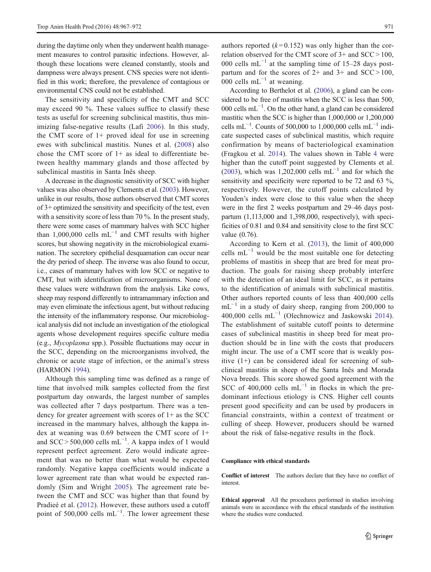during the daytime only when they underwent health management measures to control parasitic infections. However, although these locations were cleaned constantly, stools and dampness were always present. CNS species were not identified in this work; therefore, the prevalence of contagious or environmental CNS could not be established.

The sensitivity and specificity of the CMT and SCC may exceed 90 %. These values suffice to classify these tests as useful for screening subclinical mastitis, thus minimizing false-negative results (Lafi [2006\)](#page-5-0). In this study, the CMT score of  $1+$  proved ideal for use in screening ewes with subclinical mastitis. Nunes et al. ([2008](#page-5-0)) also chose the CMT score of 1+ as ideal to differentiate between healthy mammary glands and those affected by subclinical mastitis in Santa Inês sheep.

A decrease in the diagnostic sensitivity of SCC with higher values was also observed by Clements et al. [\(2003\)](#page-5-0). However, unlike in our results, those authors observed that CMT scores of 3+ optimized the sensitivity and specificity of the test, even with a sensitivity score of less than 70 %. In the present study, there were some cases of mammary halves with SCC higher than 1,000,000 cells  $mL^{-1}$  and CMT results with higher scores, but showing negativity in the microbiological examination. The secretory epithelial desquamation can occur near the dry period of sheep. The inverse was also found to occur, i.e., cases of mammary halves with low SCC or negative to CMT, but with identification of microorganisms. None of these values were withdrawn from the analysis. Like cows, sheep may respond differently to intramammary infection and may even eliminate the infectious agent, but without reducing the intensity of the inflammatory response. Our microbiological analysis did not include an investigation of the etiological agents whose development requires specific culture media (e.g., Mycoplasma spp.). Possible fluctuations may occur in the SCC, depending on the microorganisms involved, the chronic or acute stage of infection, or the animal's stress (HARMON [1994](#page-5-0)).

Although this sampling time was defined as a range of time that involved milk samples collected from the first postpartum day onwards, the largest number of samples was collected after 7 days postpartum. There was a tendency for greater agreement with scores of 1+ as the SCC increased in the mammary halves, although the kappa index at weaning was 0.69 between the CMT score of 1+ and SCC > 500,000 cells  $mL^{-1}$ . A kappa index of 1 would represent perfect agreement. Zero would indicate agreement that was no better than what would be expected randomly. Negative kappa coefficients would indicate a lower agreement rate than what would be expected randomly (Sim and Wright [2005\)](#page-5-0). The agreement rate between the CMT and SCC was higher than that found by Pradieé et al. ([2012](#page-5-0)). However, these authors used a cutoff point of 500,000 cells  $mL^{-1}$ . The lower agreement these

authors reported  $(k=0.152)$  was only higher than the correlation observed for the CMT score of 3+ and SCC > 100, 000 cells mL<sup> $-1$ </sup> at the sampling time of 15–28 days postpartum and for the scores of  $2+$  and  $3+$  and  $SCC > 100$ . 000 cells mL<sup> $-1$ </sup> at weaning.

According to Berthelot et al. [\(2006\)](#page-5-0), a gland can be considered to be free of mastitis when the SCC is less than 500, 000 cells mL−<sup>1</sup> . On the other hand, a gland can be considered mastitic when the SCC is higher than 1,000,000 or 1,200,000 cells mL<sup>-1</sup>. Counts of 500,000 to 1,000,000 cells mL<sup>-1</sup> indicate suspected cases of subclinical mastitis, which require confirmation by means of bacteriological examination (Fragkou et al. [2014\)](#page-5-0). The values shown in Table [4](#page-3-0) were higher than the cutoff point suggested by Clements et al. [\(2003\)](#page-5-0), which was 1,202,000 cells  $mL^{-1}$  and for which the sensitivity and specificity were reported to be 72 and 63 %, respectively. However, the cutoff points calculated by Youden's index were close to this value when the sheep were in the first 2 weeks postpartum and 29–46 days postpartum (1,113,000 and 1,398,000, respectively), with specificities of 0.81 and 0.84 and sensitivity close to the first SCC value (0.76).

According to Kern et al. ([2013](#page-5-0)), the limit of 400,000 cells m $L^{-1}$  would be the most suitable one for detecting problems of mastitis in sheep that are bred for meat production. The goals for raising sheep probably interfere with the detection of an ideal limit for SCC, as it pertains to the identification of animals with subclinical mastitis. Other authors reported counts of less than 400,000 cells  $mL^{-1}$  in a study of dairy sheep, ranging from 200,000 to 400,000 cells mL−<sup>1</sup> (Olechnowicz and Jaskowski [2014](#page-5-0)). The establishment of suitable cutoff points to determine cases of subclinical mastitis in sheep bred for meat production should be in line with the costs that producers might incur. The use of a CMT score that is weakly positive (1+) can be considered ideal for screening of subclinical mastitis in sheep of the Santa Inês and Morada Nova breeds. This score showed good agreement with the SCC of 400,000 cells  $mL^{-1}$  in flocks in which the predominant infectious etiology is CNS. Higher cell counts present good specificity and can be used by producers in financial constraints, within a context of treatment or culling of sheep. However, producers should be warned about the risk of false-negative results in the flock.

#### Compliance with ethical standards

Conflict of interest The authors declare that they have no conflict of interest.

Ethical approval All the procedures performed in studies involving animals were in accordance with the ethical standards of the institution where the studies were conducted.